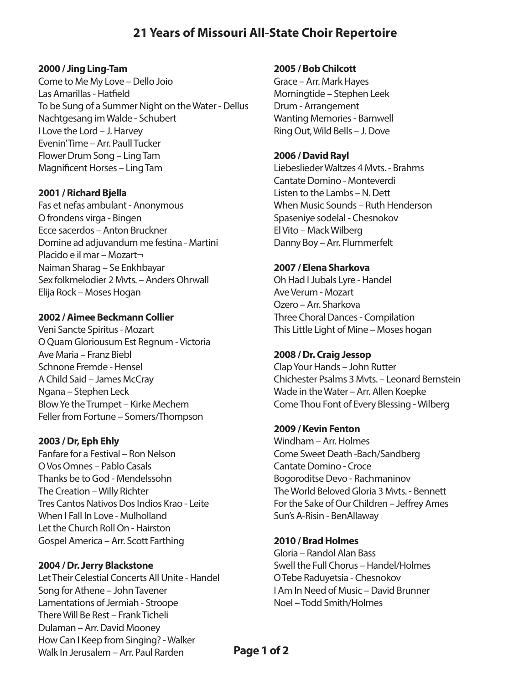# **21 Years of Missouri All-State Choir Repertoire**

#### **2000 / Jing Ling-Tam**

Come to Me My Love – Dello Joio Las Amarillas - Hatfield To be Sung of a Summer Night on the Water - Dellus Nachtgesang im Walde - Schubert I Love the Lord – J. Harvey Evenin' Time – Arr. Paull Tucker Flower Drum Song – Ling Tam Magnificent Horses – Ling Tam

#### **2001 / Richard Bjella**

Fas et nefas ambulant - Anonymous O frondens virga - Bingen Ecce sacerdos – Anton Bruckner Domine ad adjuvandum me festina - Martini Placido e il mar – Mozart¬ Naiman Sharag – Se Enkhbayar Sex folkmelodier 2 Mvts. – Anders Ohrwall Elija Rock – Moses Hogan

#### **2002 / Aimee Beckmann Collier**

Veni Sancte Spiritus - Mozart O Quam Gloriousum Est Regnum - Victoria Ave Maria – Franz Biebl Schnone Fremde - Hensel A Child Said – James McCray Ngana – Stephen Leck Blow Ye the Trumpet – Kirke Mechem Feller from Fortune – Somers/Thompson

#### **2003 / Dr, Eph Ehly**

Fanfare for a Festival – Ron Nelson O Vos Omnes – Pablo Casals Thanks be to God - Mendelssohn The Creation – Willy Richter Tres Cantos Nativos Dos Indios Krao - Leite When I Fall In Love - Mulholland Let the Church Roll On - Hairston Gospel America – Arr. Scott Farthing

#### **2004 / Dr. Jerry Blackstone**

Let Their Celestial Concerts All Unite - Handel Song for Athene – John Tavener Lamentations of Jermiah - Stroope There Will Be Rest – Frank Ticheli Dulaman – Arr. David Mooney How Can I Keep from Singing? - Walker Walk In Jerusalem – Arr. Paul Rarden

#### **2005 / Bob Chilcott**

Grace – Arr. Mark Hayes Morningtide – Stephen Leek Drum - Arrangement Wanting Memories - Barnwell Ring Out, Wild Bells – J. Dove

#### **2006 / David Rayl**

Liebeslieder Waltzes 4 Mvts. - Brahms Cantate Domino - Monteverdi Listen to the Lambs – N. Dett When Music Sounds – Ruth Henderson Spaseniye sodelal - Chesnokov El Vito – Mack Wilberg Danny Boy – Arr. Flummerfelt

#### **2007 / Elena Sharkova**

Oh Had I Jubals Lyre - Handel Ave Verum - Mozart Ozero – Arr. Sharkova Three Choral Dances - Compilation This Little Light of Mine – Moses hogan

#### **2008 / Dr. Craig Jessop**

Clap Your Hands – John Rutter Chichester Psalms 3 Mvts. – Leonard Bernstein Wade in the Water – Arr. Allen Koepke Come Thou Font of Every Blessing - Wilberg

#### **2009 / Kevin Fenton**

Windham – Arr. Holmes Come Sweet Death -Bach/Sandberg Cantate Domino - Croce Bogoroditse Devo - Rachmaninov The World Beloved Gloria 3 Mvts. - Bennett For the Sake of Our Children – Jeffrey Ames Sun's A-Risin - BenAllaway

## **2010 / Brad Holmes**

Gloria – Randol Alan Bass Swell the Full Chorus – Handel/Holmes O Tebe Raduyetsia - Chesnokov I Am In Need of Music – David Brunner Noel – Todd Smith/Holmes